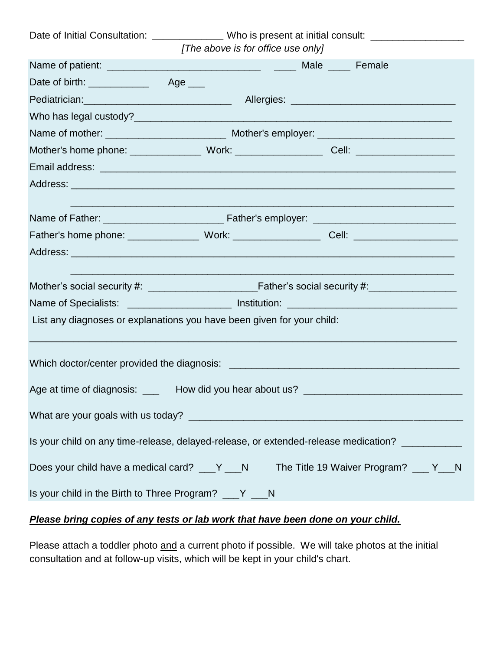| Date of Initial Consultation: ________________Who is present at initial consult: __________________ |                                    |                                                                                                      |  |  |
|-----------------------------------------------------------------------------------------------------|------------------------------------|------------------------------------------------------------------------------------------------------|--|--|
|                                                                                                     | [The above is for office use only] |                                                                                                      |  |  |
|                                                                                                     |                                    |                                                                                                      |  |  |
|                                                                                                     |                                    |                                                                                                      |  |  |
|                                                                                                     |                                    |                                                                                                      |  |  |
|                                                                                                     |                                    |                                                                                                      |  |  |
|                                                                                                     |                                    |                                                                                                      |  |  |
|                                                                                                     |                                    | Mother's home phone: Work: Work: Cell: Cell: 2008.                                                   |  |  |
|                                                                                                     |                                    |                                                                                                      |  |  |
|                                                                                                     |                                    |                                                                                                      |  |  |
|                                                                                                     |                                    |                                                                                                      |  |  |
|                                                                                                     |                                    | Father's home phone: ___________________Work: _______________________Cell: _________________________ |  |  |
|                                                                                                     |                                    |                                                                                                      |  |  |
|                                                                                                     |                                    |                                                                                                      |  |  |
| Name of Specialists: _______________________ Institution: _______________________                   |                                    |                                                                                                      |  |  |
| List any diagnoses or explanations you have been given for your child:                              |                                    |                                                                                                      |  |  |
|                                                                                                     |                                    |                                                                                                      |  |  |
|                                                                                                     |                                    | Age at time of diagnosis: ______ How did you hear about us? ____________________                     |  |  |
|                                                                                                     |                                    |                                                                                                      |  |  |
|                                                                                                     |                                    | Is your child on any time-release, delayed-release, or extended-release medication?                  |  |  |
| The Title 19 Waiver Program? ___ Y___N<br>Does your child have a medical card? ___ Y ___ N          |                                    |                                                                                                      |  |  |
| Is your child in the Birth to Three Program? ___ Y ___ N                                            |                                    |                                                                                                      |  |  |

# *Please bring copies of any tests or lab work that have been done on your child.*

Please attach a toddler photo and a current photo if possible. We will take photos at the initial consultation and at follow-up visits, which will be kept in your child's chart.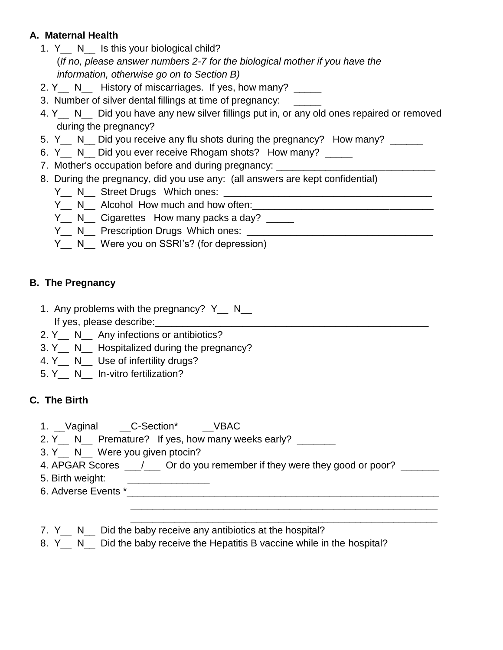## **A. Maternal Health**

- 1. Y N Is this your biological child? (*If no, please answer numbers 2-7 for the biological mother if you have the information, otherwise go on to Section B)*
- 2. Y<sub>\_\_</sub> N<sub>\_\_</sub> History of miscarriages. If yes, how many? \_\_\_\_\_
- 3. Number of silver dental fillings at time of pregnancy: \_\_\_\_\_\_
- 4. Y<sub>\_\_</sub> N\_\_ Did you have any new silver fillings put in, or any old ones repaired or removed during the pregnancy?
- 5. Y<sub>\_\_</sub> N\_\_ Did you receive any flu shots during the pregnancy? How many? \_\_\_\_\_
- 6. Y N Did you ever receive Rhogam shots? How many? \_\_\_\_\_
- 7. Mother's occupation before and during pregnancy:
- 8. During the pregnancy, did you use any: (all answers are kept confidential)
	- Y\_\_ N\_\_ Street Drugs Which ones: \_\_\_\_\_\_\_\_\_\_\_\_\_\_\_\_\_\_\_\_\_\_\_\_\_\_\_\_\_\_\_\_\_\_\_\_\_\_
	- Y\_\_ N\_\_ Alcohol How much and how often:\_\_\_\_\_\_\_\_\_\_\_\_\_\_\_\_\_\_\_\_\_\_\_\_\_\_\_\_\_\_\_\_\_
	- Y N Cigarettes How many packs a day?
	- Y\_\_ N\_\_ Prescription Drugs Which ones: \_\_\_\_\_\_\_\_\_\_\_\_\_\_\_\_\_\_\_\_\_\_\_\_\_\_\_\_\_\_\_\_\_\_
	- Y<sub>\_\_</sub> N\_\_ Were you on SSRI's? (for depression)

# **B. The Pregnancy**

- 1. Any problems with the pregnancy? Y N If yes, please describe:
- 2. Y<sub>\_</sub> N<sub>\_</sub> Any infections or antibiotics?
- 3. Y N Hospitalized during the pregnancy?
- 4. Y N Use of infertility drugs?
- 5. Y\_\_ N\_\_ In-vitro fertilization?

# **C. The Birth**

- 1. Vaginal \_\_C-Section\* \_\_VBAC
- 2. Y N Premature? If yes, how many weeks early?
- 3. Y N Were you given ptocin?
- 4. APGAR Scores  $\qquad$  /  $\qquad$  Or do you remember if they were they good or poor?
- 5. Birth weight: \_\_\_\_\_\_\_\_\_\_\_\_\_\_\_
- 6. Adverse Events \*

 \_\_\_\_\_\_\_\_\_\_\_\_\_\_\_\_\_\_\_\_\_\_\_\_\_\_\_\_\_\_\_\_\_\_\_\_\_\_\_\_\_\_\_\_\_\_\_\_\_\_\_\_\_\_\_\_ \_\_\_\_\_\_\_\_\_\_\_\_\_\_\_\_\_\_\_\_\_\_\_\_\_\_\_\_\_\_\_\_\_\_\_\_\_\_\_\_\_\_\_\_\_\_\_\_\_\_\_\_\_\_\_\_

- 7. Y N Did the baby receive any antibiotics at the hospital?
- 8. Y N Did the baby receive the Hepatitis B vaccine while in the hospital?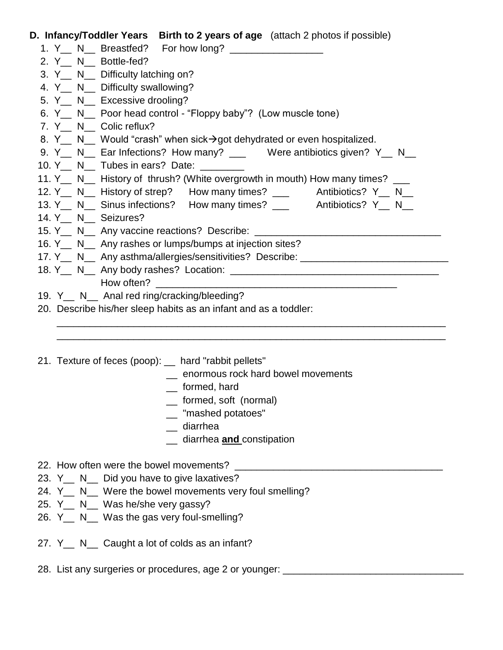| D. Infancy/Toddler Years Birth to 2 years of age (attach 2 photos if possible)               |
|----------------------------------------------------------------------------------------------|
|                                                                                              |
| 2. Y <sub>__</sub> N__ Bottle-fed?                                                           |
| 3. Y <sub>__</sub> N__ Difficulty latching on?                                               |
| 4. Y <sub>__</sub> N__ Difficulty swallowing?                                                |
| 5. Y <sub>_</sub> N_ Excessive drooling?                                                     |
| 6. Y <sub>__</sub> N__ Poor head control - "Floppy baby"? (Low muscle tone)                  |
| 7. Y N Colic reflux?                                                                         |
| 8. Y N Would "crash" when sick→got dehydrated or even hospitalized.                          |
| 9. Y <sub>__</sub> N__ Ear Infections? How many? ___ Were antibiotics given? Y_ N__          |
| 10. Y N Tubes in ears? Date:                                                                 |
| 11. Y <sub>__</sub> N__ History of thrush? (White overgrowth in mouth) How many times? ___   |
| 12. Y <sub>__</sub> N__ History of strep? How many times? ___ Antibiotics? Y_ N__            |
| 13. Y <sub>__</sub> N__ Sinus infections? How many times? ___ Antibiotics? Y_ N__            |
| 14. Y <sub>__</sub> N__ Seizures?                                                            |
| 15. Y <sub>__</sub> N__ Any vaccine reactions? Describe: _________________________________   |
| 16. Y _ N _ Any rashes or lumps/bumps at injection sites?                                    |
| 17. Y <sub>__</sub> _ N___ Any asthma/allergies/sensitivities? Describe: ___________________ |
|                                                                                              |
|                                                                                              |
| 19. Y <sub>__</sub> N__ Anal red ring/cracking/bleeding?                                     |
| 20. Describe his/her sleep habits as an infant and as a toddler:                             |

- $\overline{\phantom{a}}$  , and the contribution of the contribution of the contribution of the contribution of the contribution of the contribution of the contribution of the contribution of the contribution of the contribution of the
	- 21. Texture of feces (poop): \_\_ hard "rabbit pellets"
		- \_\_ enormous rock hard bowel movements
		- \_\_ formed, hard
		- \_\_ formed, soft (normal)
		- \_\_ "mashed potatoes"
		- \_\_ diarrhea
		- \_\_ diarrhea **and** constipation

 $\overline{\phantom{a}}$  , and the contribution of the contribution of the contribution of the contribution of the contribution of the contribution of the contribution of the contribution of the contribution of the contribution of the

- 22. How often were the bowel movements?
- 23. Y<sub>\_\_</sub> N\_\_ Did you have to give laxatives?
- 24. Y\_\_ N\_\_ Were the bowel movements very foul smelling?
- 25. Y<sub>\_</sub> N\_ Was he/she very gassy?
- 26. Y<sub>\_\_</sub> N\_\_ Was the gas very foul-smelling?
- 27. Y<sub>\_\_</sub> N\_\_ Caught a lot of colds as an infant?
- 28. List any surgeries or procedures, age 2 or younger: \_\_\_\_\_\_\_\_\_\_\_\_\_\_\_\_\_\_\_\_\_\_\_\_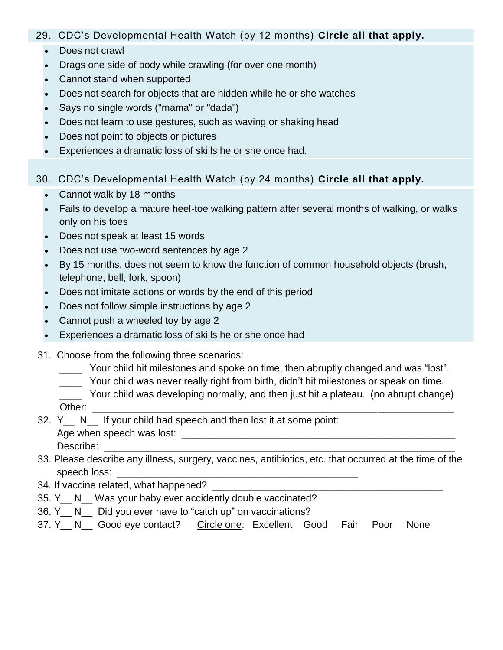#### 29. CDC's Developmental Health Watch (by 12 months) **Circle all that apply.**

- Does not crawl
- Drags one side of body while crawling (for over one month)
- Cannot stand when supported
- Does not search for objects that are hidden while he or she watches
- Says no single words ("mama" or "dada")
- Does not learn to use gestures, such as waving or shaking head
- Does not point to objects or pictures
- Experiences a dramatic loss of skills he or she once had.
- 30. CDC's Developmental Health Watch (by 24 months) **Circle all that apply.**
	- Cannot walk by 18 months
	- Fails to develop a mature heel-toe walking pattern after several months of walking, or walks only on his toes
	- Does not speak at least 15 words
	- Does not use two-word sentences by age 2
	- By 15 months, does not seem to know the function of common household objects (brush, telephone, bell, fork, spoon)
	- Does not imitate actions or words by the end of this period
	- Does not follow simple instructions by age 2
	- Cannot push a wheeled toy by age 2
	- Experiences a dramatic loss of skills he or she once had
- 31. Choose from the following three scenarios:
	- \_\_\_\_ Your child hit milestones and spoke on time, then abruptly changed and was "lost".
	- \_\_\_\_ Your child was never really right from birth, didn't hit milestones or speak on time.
	- Your child was developing normally, and then just hit a plateau. (no abrupt change)
	- Other:
- 32. Y N If your child had speech and then lost it at some point:
- Age when speech was lost: \_\_\_\_\_\_\_\_\_\_\_\_\_\_\_\_\_\_\_\_\_\_\_\_\_\_\_\_\_\_\_\_\_\_\_\_\_\_\_\_\_\_\_\_\_\_\_\_\_\_ Describe:
- 33. Please describe any illness, surgery, vaccines, antibiotics, etc. that occurred at the time of the speech loss:
- 34. If vaccine related, what happened?
- 35. Y\_\_ N\_\_ Was your baby ever accidently double vaccinated?
- 36. Y N Did you ever have to "catch up" on vaccinations?
- 37. Y\_\_ N\_\_ Good eye contact? Circle one: Excellent Good Fair Poor None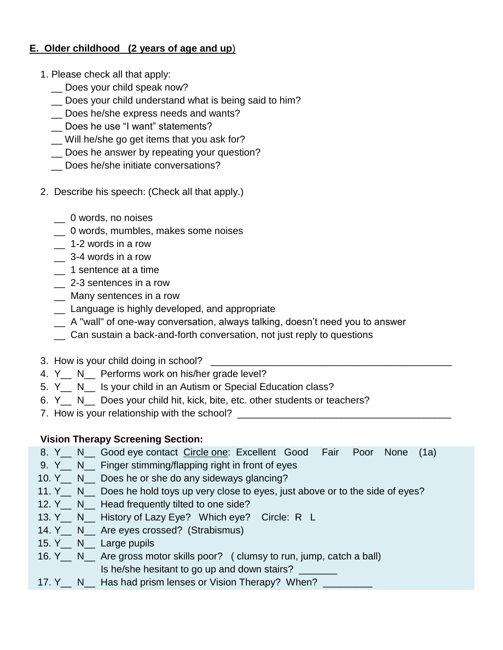## **E. Older childhood (2 years of age and up**)

- 1. Please check all that apply:
	- \_\_ Does your child speak now?
	- \_\_ Does your child understand what is being said to him?
	- Does he/she express needs and wants?
	- \_\_ Does he use "I want" statements?
	- \_\_ Will he/she go get items that you ask for?
	- \_\_ Does he answer by repeating your question?
	- \_\_ Does he/she initiate conversations?
- 2. Describe his speech: (Check all that apply.)
	- \_\_ 0 words, no noises
	- \_\_ 0 words, mumbles, makes some noises
	- \_\_ 1-2 words in a row
	- $\frac{1}{2}$  3-4 words in a row
	- \_\_ 1 sentence at a time
	- \_\_ 2-3 sentences in a row
	- \_\_ Many sentences in a row
	- \_\_ Language is highly developed, and appropriate
	- \_\_ A "wall" of one-way conversation, always talking, doesn't need you to answer
	- \_\_ Can sustain a back-and-forth conversation, not just reply to questions
- 3. How is your child doing in school?
- 4. Y<sub>\_</sub> N\_ Performs work on his/her grade level?
- 5. Y N Is your child in an Autism or Special Education class?
- 6. Y\_\_ N\_\_ Does your child hit, kick, bite, etc. other students or teachers?
- 7. How is your relationship with the school?

# **Vision Therapy Screening Section:**

- 8. Y N Good eye contact Circle one: Excellent Good Fair Poor None (1a)
- 9. Y N Finger stimming/flapping right in front of eyes
- 10. Y<sub>\_\_</sub> N\_\_ Does he or she do any sideways glancing?
- 11. Y<sub>\_\_</sub> N\_\_ Does he hold toys up very close to eyes, just above or to the side of eyes?
- 12. Y<sub>\_\_</sub> N\_\_ Head frequently tilted to one side?
- 13. Y\_\_ N\_\_ History of Lazy Eye? Which eye? Circle: R L
- 14. Y<sub>\_</sub> N\_ Are eyes crossed? (Strabismus)
- 15. Y\_\_ N\_\_ Large pupils
- 16. Y\_\_ N\_\_ Are gross motor skills poor? ( clumsy to run, jump, catch a ball) Is he/she hesitant to go up and down stairs? \_\_\_\_\_\_\_
- 17. Y<sub>\_\_</sub> N\_\_ Has had prism lenses or Vision Therapy? When? \_\_\_\_\_\_\_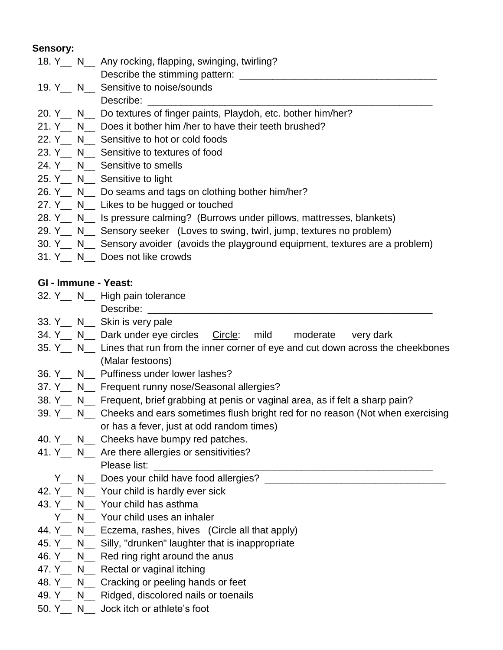#### **Sensory:**

- 18. Y\_\_ N\_\_ Any rocking, flapping, swinging, twirling?
	- Describe the stimming pattern: \_\_\_\_\_\_\_\_\_\_\_\_\_\_\_\_\_\_\_\_\_\_\_\_\_\_\_\_\_\_\_\_\_\_\_\_
- 19. Y<sub>\_\_</sub> N\_\_ Sensitive to noise/sounds Describe:
- 20. Y N Do textures of finger paints, Playdoh, etc. bother him/her?
- 21. Y<sub>\_</sub> N\_ Does it bother him /her to have their teeth brushed?
- 22. Y<sub>\_</sub> N\_ Sensitive to hot or cold foods
- 23. Y<sub>\_\_</sub> N\_\_ Sensitive to textures of food
- 24. Y<sub>\_\_</sub> N\_\_ Sensitive to smells
- 25. Y\_\_ N\_\_ Sensitive to light
- 26. Y N Do seams and tags on clothing bother him/her?
- 27. Y N Likes to be hugged or touched
- 28. Y N Is pressure calming? (Burrows under pillows, mattresses, blankets)
- 29. Y N Sensory seeker (Loves to swing, twirl, jump, textures no problem)
- 30. Y\_\_ N\_\_ Sensory avoider (avoids the playground equipment, textures are a problem)
- 31. Y\_\_ N\_\_ Does not like crowds

#### **GI - Immune - Yeast:**

- 32. Y\_\_ N\_\_ High pain tolerance
- Describe:
- 33. Y N Skin is very pale
- 34. Y\_\_ N\_\_ Dark under eye circles Circle: mild moderate very dark
- 35. Y\_\_ N\_\_ Lines that run from the inner corner of eye and cut down across the cheekbones (Malar festoons)
- 36. Y N Puffiness under lower lashes?
- 37. Y N Frequent runny nose/Seasonal allergies?
- 38. Y\_\_ N\_\_ Frequent, brief grabbing at penis or vaginal area, as if felt a sharp pain?
- 39. Y<sub>\_\_</sub> N\_\_ Cheeks and ears sometimes flush bright red for no reason (Not when exercising or has a fever, just at odd random times)
- 40. Y<sub>\_\_</sub> N<sub>\_\_</sub> Cheeks have bumpy red patches.
- 41. Y<sub>\_\_</sub> N<sub>\_\_</sub> Are there allergies or sensitivities? Please list:
	- Y N Does your child have food allergies?
- 42. Y<sub>\_\_</sub> N\_\_ Your child is hardly ever sick
- 43. Y\_\_ N\_\_ Your child has asthma
	- Y\_\_ N\_\_ Your child uses an inhaler
- 44. Y<sub>\_</sub> N\_ Eczema, rashes, hives (Circle all that apply)
- 45. Y<sub>\_\_</sub> N\_\_ Silly, "drunken" laughter that is inappropriate
- 46. Y<sub>\_\_</sub> N\_\_ Red ring right around the anus
- 47. Y<sub>\_\_</sub> N\_\_ Rectal or vaginal itching
- 48. Y<sub>\_\_</sub> N<sub>\_\_</sub> Cracking or peeling hands or feet
- 49. Y<sub>\_\_</sub> N<sub>\_\_</sub> Ridged, discolored nails or toenails
- 50. Y\_\_ N\_\_ Jock itch or athlete's foot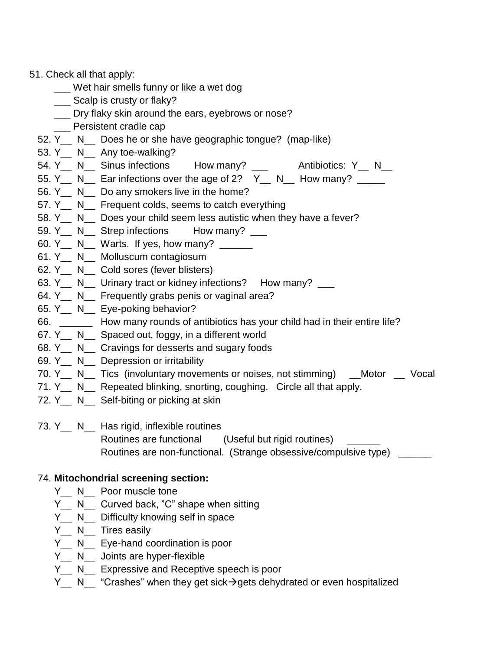#### 51. Check all that apply:

- \_\_\_ Wet hair smells funny or like a wet dog
- \_\_\_ Scalp is crusty or flaky?
- Dry flaky skin around the ears, eyebrows or nose?
- Persistent cradle cap
- 52. Y\_\_ N\_\_ Does he or she have geographic tongue? (map-like)
- 53. Y<sub>\_\_</sub> N\_\_ Any toe-walking?
- 54. Y<sub>\_\_</sub> N\_\_ Sinus infections How many? \_\_\_ Antibiotics: Y\_ N\_\_
- 55. Y<sub>\_\_</sub> N\_\_ Ear infections over the age of 2?  $Y_$ <sub>\_</sub> N\_\_ How many? \_\_\_\_
- 56. Y N Do any smokers live in the home?
- 57. Y N Frequent colds, seems to catch everything
- 58. Y N Does your child seem less autistic when they have a fever?
- 59. Y N Strep infections How many?
- 60. Y<sub>\_\_</sub> N\_\_ Warts. If yes, how many?  $\frac{$
- 61. Y\_\_ N\_\_ Molluscum contagiosum
- 62. Y\_\_ N\_\_ Cold sores (fever blisters)
- 63. Y<sub>\_\_</sub> N\_\_ Urinary tract or kidney infections? How many? \_\_
- 64. Y<sub>\_</sub> N\_ Frequently grabs penis or vaginal area?
- 65. Y\_\_ N\_\_ Eye-poking behavior?
- 66. \_\_\_\_\_\_ How many rounds of antibiotics has your child had in their entire life?
- 67. Y\_\_ N\_\_ Spaced out, foggy, in a different world
- 68. Y N Cravings for desserts and sugary foods
- 69. Y\_\_ N\_\_ Depression or irritability
- 70. Y<sub>\_\_</sub> N\_\_ Tics (involuntary movements or noises, not stimming) \_\_Motor \_\_ Vocal
- 71. Y<sub>\_\_</sub> N\_\_ Repeated blinking, snorting, coughing. Circle all that apply.
- 72. Y<sub>\_\_</sub> N\_\_ Self-biting or picking at skin

73. Y<sub>\_\_</sub> N\_\_ Has rigid, inflexible routines

 Routines are functional (Useful but rigid routines) \_\_\_\_\_\_ Routines are non-functional. (Strange obsessive/compulsive type) \_\_\_\_\_\_

#### 74. **Mitochondrial screening section:**

- Y N Poor muscle tone
- Y N Curved back, "C" shape when sitting
- Y\_\_ N\_\_ Difficulty knowing self in space
- Y<sub>\_\_</sub> N\_\_ Tires easily
- Y<sub>\_\_</sub> N\_\_ Eye-hand coordination is poor
- Y<sub>\_\_</sub> N<sub>\_\_</sub> Joints are hyper-flexible
- Y<sub>\_\_</sub> N\_\_ Expressive and Receptive speech is poor
- Y\_\_ N\_\_ "Crashes" when they get sick  $\rightarrow$  gets dehydrated or even hospitalized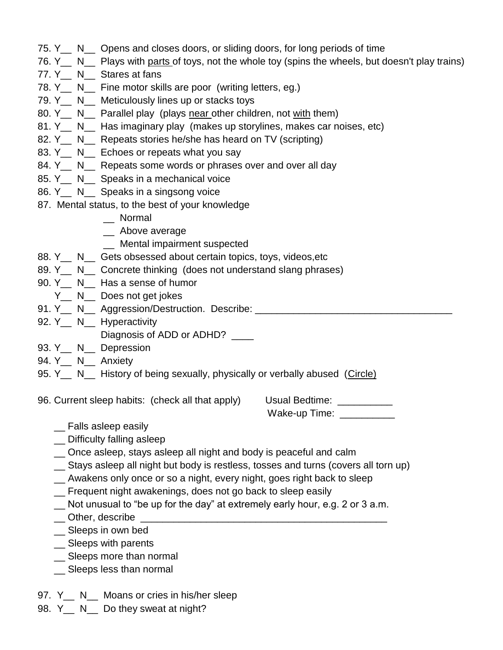- 75. Y\_\_ N\_\_ Opens and closes doors, or sliding doors, for long periods of time
- 76. Y<sub>\_\_</sub> N<sub>\_\_</sub> Plays with parts of toys, not the whole toy (spins the wheels, but doesn't play trains)
- 77. Y<sub>\_</sub> N\_ Stares at fans
- 78. Y<sub>\_\_</sub> N\_\_ Fine motor skills are poor (writing letters, eg.)
- 79. Y<sub>\_\_</sub> N\_\_ Meticulously lines up or stacks toys
- 80. Y<sub>\_\_</sub> N\_\_ Parallel play (plays near other children, not with them)
- 81. Y N Has imaginary play (makes up storylines, makes car noises, etc)
- 82. Y<sub>\_\_</sub> N\_\_ Repeats stories he/she has heard on TV (scripting)
- 83. Y<sub>\_\_</sub> N\_\_ Echoes or repeats what you say
- 84. Y<sub>\_\_</sub> N\_\_ Repeats some words or phrases over and over all day
- 85. Y<sub>\_\_</sub> N\_\_ Speaks in a mechanical voice
- 86. Y N Speaks in a singsong voice
- 87. Mental status, to the best of your knowledge
	- \_\_ Normal
	- \_\_ Above average
	- \_\_ Mental impairment suspected
- 88. Y<sub>\_\_</sub> N\_\_ Gets obsessed about certain topics, toys, videos, etc
- 89. Y<sub>\_\_</sub> N<sub>\_\_</sub> Concrete thinking (does not understand slang phrases)
- 90. Y\_\_ N\_\_ Has a sense of humor
- Y N Does not get jokes
- 91. Y N Aggression/Destruction. Describe: <u>equal</u>
- 92. Y<sub>\_\_</sub> N\_\_ Hyperactivity
	- Diagnosis of ADD or ADHD?
- 93. Y N Depression
- 94. Y N Anxiety
- 95. Y<sub>\_\_</sub> N<sub>\_\_</sub> History of being sexually, physically or verbally abused (Circle)
- 96. Current sleep habits: (check all that apply) Usual Bedtime: \_\_\_\_\_\_\_\_\_\_

Wake-up Time: \_\_\_\_\_\_\_\_\_\_

- \_\_ Falls asleep easily
- \_\_ Difficulty falling asleep
- \_\_ Once asleep, stays asleep all night and body is peaceful and calm
- \_\_ Stays asleep all night but body is restless, tosses and turns (covers all torn up)
- \_\_ Awakens only once or so a night, every night, goes right back to sleep
- \_\_ Frequent night awakenings, does not go back to sleep easily
- \_\_ Not unusual to "be up for the day" at extremely early hour, e.g. 2 or 3 a.m.
- $\_\_$  Other, describe
- \_\_ Sleeps in own bed
- \_\_ Sleeps with parents
- \_\_ Sleeps more than normal
- \_\_ Sleeps less than normal
- 97. Y<sub>\_\_</sub> N\_\_ Moans or cries in his/her sleep
- 98. Y<sub>\_\_</sub> N\_\_ Do they sweat at night?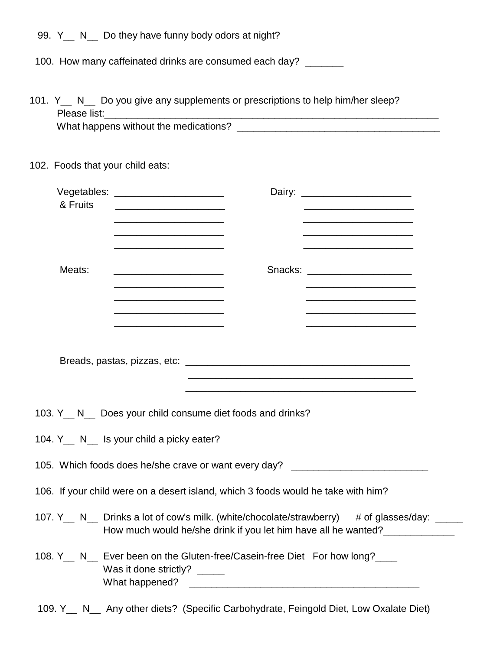| 99. Y N |  |  | _ Do they have funny body odors at night? |  |  |  |  |
|---------|--|--|-------------------------------------------|--|--|--|--|
|---------|--|--|-------------------------------------------|--|--|--|--|

100. How many caffeinated drinks are consumed each day? \_\_\_\_\_\_

| 101. Y N Do you give any supplements or prescriptions to help him/her sleep? |  |  |  |  |  |
|------------------------------------------------------------------------------|--|--|--|--|--|
| Please list:                                                                 |  |  |  |  |  |
| What happens without the medications?                                        |  |  |  |  |  |

# 102. Foods that your child eats:

| & Fruits     | Vegetables: _______________________<br>Dairy: _______________________                                                                                                                                                                                       |  |  |  |
|--------------|-------------------------------------------------------------------------------------------------------------------------------------------------------------------------------------------------------------------------------------------------------------|--|--|--|
|              | <u> 1980 - Jan James James Jan James James James James James James James James James James James James James Jam</u><br><u> 1989 - Johann Stein, mars an deus an deus Amerikaansk kommunister (</u><br><u> 1989 - Johann John Stone, mars et al. (1989)</u> |  |  |  |
| Meats:       | Snacks: _______________________<br><u> 1990 - Johann John Stone, mars et al. (</u><br><u> 1989 - Johann John Stein, mars an de Frankryk († 1958)</u><br><u> 1989 - Johann John Stone, mars eta biztanleria (h. 1989).</u>                                   |  |  |  |
|              | <u> 1989 - Johann Stoff, amerikansk politiker (d. 1989)</u>                                                                                                                                                                                                 |  |  |  |
|              | 103. Y <sub>__</sub> N__ Does your child consume diet foods and drinks?                                                                                                                                                                                     |  |  |  |
|              | 104. Y <sub>__</sub> N__ Is your child a picky eater?                                                                                                                                                                                                       |  |  |  |
|              | 105. Which foods does he/she crave or want every day? __________________________                                                                                                                                                                            |  |  |  |
|              | 106. If your child were on a desert island, which 3 foods would he take with him?                                                                                                                                                                           |  |  |  |
|              | 107. Y N Drinks a lot of cow's milk. (white/chocolate/strawberry) # of glasses/day:<br>How much would he/she drink if you let him have all he wanted?                                                                                                       |  |  |  |
|              | 108. Y <sub>__</sub> N__ Ever been on the Gluten-free/Casein-free Diet For how long?___<br>Was it done strictly? _____<br>What happened?                                                                                                                    |  |  |  |
| 109. Y<br>N. | Any other diets? (Specific Carbohydrate, Feingold Diet, Low Oxalate Diet)                                                                                                                                                                                   |  |  |  |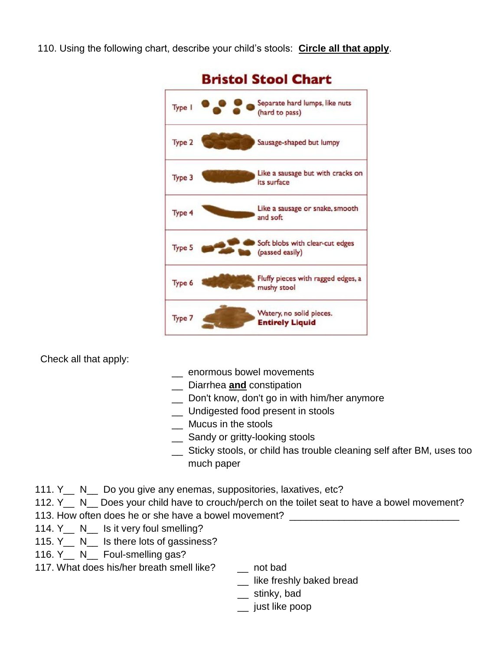110. Using the following chart, describe your child's stools: **Circle all that apply**.



Check all that apply:

- \_\_ enormous bowel movements
- \_\_ Diarrhea **and** constipation
- \_\_ Don't know, don't go in with him/her anymore
- \_\_ Undigested food present in stools
- \_\_ Mucus in the stools
- \_\_ Sandy or gritty-looking stools
- \_\_ Sticky stools, or child has trouble cleaning self after BM, uses too much paper
- 111. Y<sub>\_\_</sub> N\_\_ Do you give any enemas, suppositories, laxatives, etc?
- 112. Y<sub>\_\_</sub> N\_\_ Does your child have to crouch/perch on the toilet seat to have a bowel movement?
- 113. How often does he or she have a bowel movement?
- 114. Y<sub>\_\_</sub> N\_\_ Is it very foul smelling?
- 115. Y<sub>\_\_</sub> N\_\_ Is there lots of gassiness?
- 116. Y<sub>\_\_</sub> N\_\_ Foul-smelling gas?
- 117. What does his/her breath smell like? \_\_ not bad
	-
	- \_\_ like freshly baked bread
	- \_\_ stinky, bad
	- \_\_ just like poop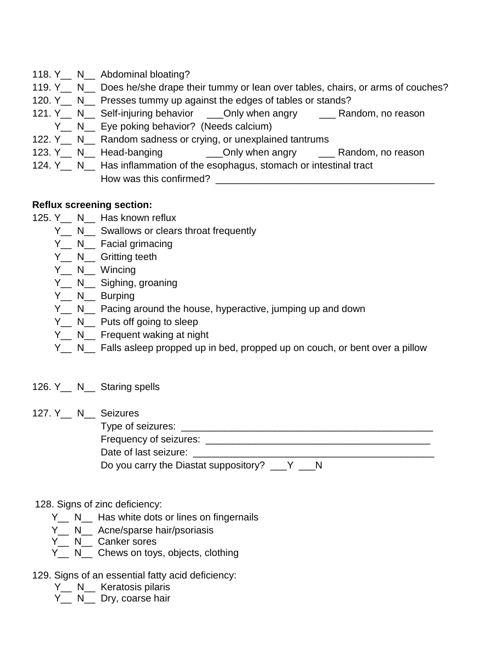- 118. Y<sub>\_\_</sub> N\_\_ Abdominal bloating?
- 119. Y<sub>\_\_</sub> N\_\_ Does he/she drape their tummy or lean over tables, chairs, or arms of couches?
- 120. Y<sub>\_\_</sub> N\_\_ Presses tummy up against the edges of tables or stands?
- 121. Y N Self-injuring behavior Only when angry Random, no reason
- Y N Eye poking behavior? (Needs calcium)
- 122. Y<sub>\_</sub> N\_ Random sadness or crying, or unexplained tantrums
- 123. Y N Head-banging Chily when angry All Random, no reason
- 124. Y<sub>\_\_</sub> N\_\_ Has inflammation of the esophagus, stomach or intestinal tract How was this confirmed? \_\_\_\_\_\_\_\_\_\_\_\_\_\_\_\_\_\_\_\_\_\_\_\_\_\_\_\_\_\_\_\_\_\_\_\_\_\_\_\_

#### **Reflux screening section:**

- 125. Y\_\_ N\_\_ Has known reflux
	- Y N Swallows or clears throat frequently
	- Y<sub>\_\_</sub> N<sub>\_\_</sub> Facial grimacing
	- Y<sub>\_\_</sub> N<sub>\_\_</sub> Gritting teeth
	- Y<sub>\_\_</sub> N<sub>\_\_</sub> Wincing
	- Y<sub>\_\_</sub> N<sub>\_\_</sub> Sighing, groaning
	- Y N Burping
	- Y N Pacing around the house, hyperactive, jumping up and down
	- Y N Puts off going to sleep
	- Y<sub>\_\_</sub> N<sub>\_\_</sub> Frequent waking at night
	- Y N Falls asleep propped up in bed, propped up on couch, or bent over a pillow

# 126. Y\_\_ N\_\_ Staring spells

127. Y\_\_ N\_\_ Seizures

 Type of seizures: \_\_\_\_\_\_\_\_\_\_\_\_\_\_\_\_\_\_\_\_\_\_\_\_\_\_\_\_\_\_\_\_\_\_\_\_\_\_\_\_\_\_\_\_\_\_ Frequency of seizures: \_\_\_\_\_\_\_\_\_\_\_\_\_\_\_\_\_\_\_\_\_\_\_\_\_\_\_\_\_\_\_\_\_\_\_\_\_\_\_\_\_

Date of last seizure: \_\_\_\_\_\_\_\_\_\_\_\_\_\_\_\_\_\_\_\_\_\_\_\_\_\_\_\_\_\_\_\_\_\_\_\_\_\_\_\_\_\_\_\_

Do you carry the Diastat suppository? \_\_\_Y \_\_N

#### 128. Signs of zinc deficiency:

- Y<sub>\_\_</sub> N<sub>\_\_</sub> Has white dots or lines on fingernails
- Y<sub>\_\_</sub> N<sub>\_\_</sub> Acne/sparse hair/psoriasis
- Y<sub>\_\_</sub> N<sub>\_\_</sub> Canker sores
- Y<sub>\_\_</sub> N<sub>\_\_</sub> Chews on toys, objects, clothing

#### 129. Signs of an essential fatty acid deficiency:

- Y N Keratosis pilaris
- Y<sub>\_\_</sub> N\_\_ Dry, coarse hair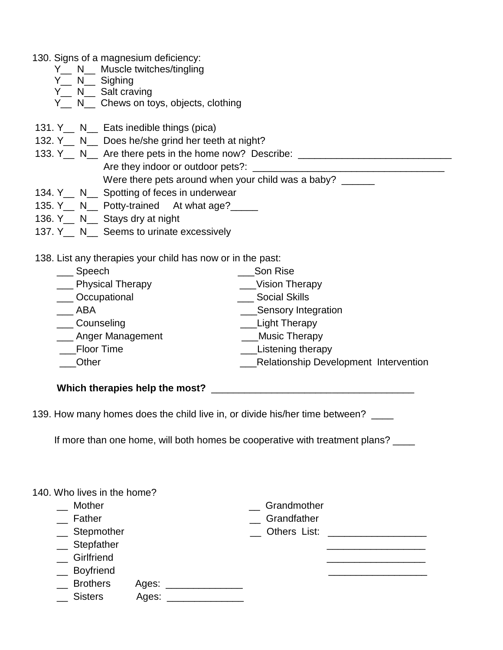- 130. Signs of a magnesium deficiency:
	- Y\_\_ N\_\_ Muscle twitches/tingling
	- $Y_{-}$  N<sub>--</sub> Sighing
	- Y<sub>\_\_</sub> N\_\_ Salt craving
	- Y\_\_ N\_\_ Chews on toys, objects, clothing
- 131. Y\_\_ N\_\_ Eats inedible things (pica)
- 132. Y<sub>\_\_</sub> N\_\_ Does he/she grind her teeth at night?
- 133. Y<sub>\_\_</sub> N\_\_ Are there pets in the home now? Describe: \_\_\_\_\_\_\_\_\_\_\_\_\_\_\_\_\_\_\_\_\_\_\_\_ Are they indoor or outdoor pets?: \_\_\_\_\_\_\_\_\_\_\_\_\_\_\_\_\_\_\_\_\_\_\_\_\_\_\_\_\_\_\_\_\_\_\_ Were there pets around when your child was a baby?
- 134. Y<sub>\_\_</sub> N\_\_ Spotting of feces in underwear
- 135. Y\_\_ N\_\_ Potty-trained At what age?\_\_\_\_
- 136. Y\_\_ N\_\_ Stays dry at night
- 137. Y<sub>\_\_</sub> N\_\_ Seems to urinate excessively

138. List any therapies your child has now or in the past:

| Speech               | Son Rise                                     |
|----------------------|----------------------------------------------|
| ___ Physical Therapy | <b>Vision Therapy</b>                        |
| _Occupational        | <b>Social Skills</b>                         |
| ABA                  | Sensory Integration                          |
| Counseling           | Light Therapy                                |
| __ Anger Management  | <b>Music Therapy</b>                         |
| Floor Time           | Listening therapy                            |
| Other                | <b>Relationship Development Intervention</b> |
|                      |                                              |

**Which therapies help the most?** \_\_\_\_\_\_\_\_\_\_\_\_\_\_\_\_\_\_\_\_\_\_\_\_\_\_\_\_\_\_\_\_\_\_\_\_\_

139. How many homes does the child live in, or divide his/her time between? \_\_\_\_

If more than one home, will both homes be cooperative with treatment plans? \_\_\_\_

|  |  |  |  |  | 140. Who lives in the home? |
|--|--|--|--|--|-----------------------------|
|--|--|--|--|--|-----------------------------|

| Mother              |       | Grandmother    |  |
|---------------------|-------|----------------|--|
| Father              |       | Grandfather    |  |
| $\equiv$ Stepmother |       | _ Others List: |  |
| $\equiv$ Stepfather |       |                |  |
| _ Girlfriend        |       |                |  |
| _ Boyfriend         |       |                |  |
| $\equiv$ Brothers   | Ages: |                |  |
| Sisters             | Ages: |                |  |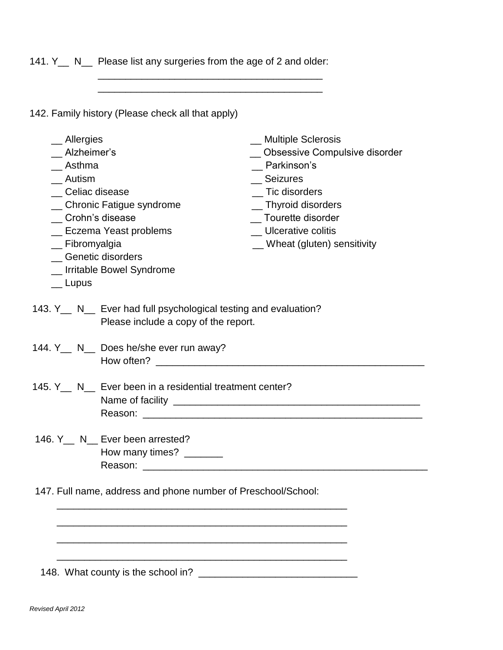141. Y<sub>\_</sub> N\_ Please list any surgeries from the age of 2 and older:

 $\frac{1}{2}$  ,  $\frac{1}{2}$  ,  $\frac{1}{2}$  ,  $\frac{1}{2}$  ,  $\frac{1}{2}$  ,  $\frac{1}{2}$  ,  $\frac{1}{2}$  ,  $\frac{1}{2}$  ,  $\frac{1}{2}$  ,  $\frac{1}{2}$  ,  $\frac{1}{2}$  ,  $\frac{1}{2}$  ,  $\frac{1}{2}$  ,  $\frac{1}{2}$  ,  $\frac{1}{2}$  ,  $\frac{1}{2}$  ,  $\frac{1}{2}$  ,  $\frac{1}{2}$  ,  $\frac{1$ 

 $\mathcal{L}_\text{max}$  , and the set of the set of the set of the set of the set of the set of the set of the set of the set of the set of the set of the set of the set of the set of the set of the set of the set of the set of the

142. Family history (Please check all that apply)

| $\equiv$ Allergies<br>Alzheimer's<br>__ Asthma<br>Autism<br>Celiac disease<br>Crohn's disease<br>_ Fibromyalgia<br>$\equiv$ Lupus | _ Chronic Fatigue syndrome<br>_ Eczema Yeast problems<br>_ Genetic disorders<br>_ Irritable Bowel Syndrome                                                                                                                                                                | __ Multiple Sclerosis<br>Obsessive Compulsive disorder<br>Parkinson's<br>Seizures<br>_ Tic disorders<br>_ Thyroid disorders<br>Tourette disorder<br>_ Ulcerative colitis<br>_ Wheat (gluten) sensitivity |  |  |
|-----------------------------------------------------------------------------------------------------------------------------------|---------------------------------------------------------------------------------------------------------------------------------------------------------------------------------------------------------------------------------------------------------------------------|----------------------------------------------------------------------------------------------------------------------------------------------------------------------------------------------------------|--|--|
|                                                                                                                                   | 143. Y <sub>__</sub> N__ Ever had full psychological testing and evaluation?<br>Please include a copy of the report.                                                                                                                                                      |                                                                                                                                                                                                          |  |  |
|                                                                                                                                   | 144. Y__ N__ Does he/she ever run away?<br>How often? Now the state of the state of the state of the state of the state of the state of the state of the state of the state of the state of the state of the state of the state of the state of the state of the state of |                                                                                                                                                                                                          |  |  |
|                                                                                                                                   | 145. Y N Ever been in a residential treatment center?                                                                                                                                                                                                                     |                                                                                                                                                                                                          |  |  |
|                                                                                                                                   | 146. Y <sub>__</sub> N__ Ever been arrested?<br>How many times? ______                                                                                                                                                                                                    |                                                                                                                                                                                                          |  |  |
| 147. Full name, address and phone number of Preschool/School:                                                                     |                                                                                                                                                                                                                                                                           |                                                                                                                                                                                                          |  |  |
|                                                                                                                                   |                                                                                                                                                                                                                                                                           |                                                                                                                                                                                                          |  |  |
|                                                                                                                                   | 148. What county is the school in?                                                                                                                                                                                                                                        |                                                                                                                                                                                                          |  |  |